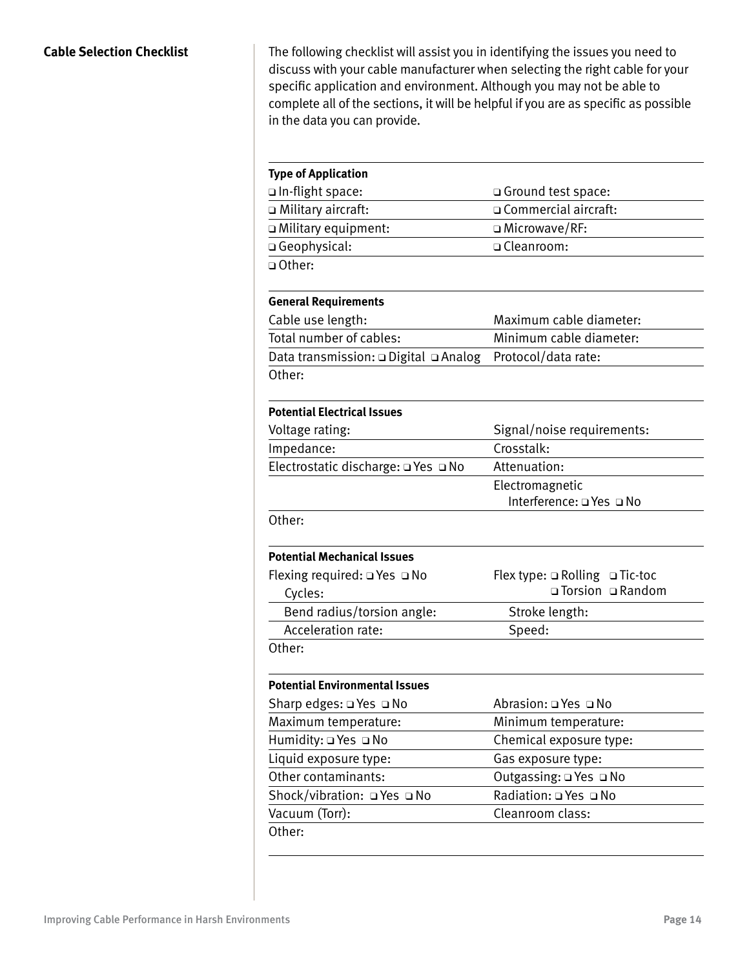The following checklist will assist you in identifying the issues you need to discuss with your cable manufacturer when selecting the right cable for your specific application and environment. Although you may not be able to complete all of the sections, it will be helpful if you are as specific as possible in the data you can provide.

| <b>Type of Application</b>            |                                |
|---------------------------------------|--------------------------------|
| u In-flight space:                    | □ Ground test space:           |
| m Military aircraft:                  | □ Commercial aircraft:         |
| □ Military equipment:                 | □ Microwave/RF:                |
| □ Geophysical:                        | □ Cleanroom:                   |
| □ Other:                              |                                |
| <b>General Requirements</b>           |                                |
| Cable use length:                     | Maximum cable diameter:        |
| Total number of cables:               | Minimum cable diameter:        |
| Data transmission: □ Digital □ Analog | Protocol/data rate:            |
| Other:                                |                                |
| <b>Potential Electrical Issues</b>    |                                |
| Voltage rating:                       | Signal/noise requirements:     |
| Impedance:                            | Crosstalk:                     |
| Electrostatic discharge: Q Yes Q No   | Attenuation:                   |
|                                       | Electromagnetic                |
|                                       | Interference: □ Yes □ No       |
|                                       |                                |
| Other:                                |                                |
| <b>Potential Mechanical Issues</b>    |                                |
| Flexing required: □ Yes □ No          | Flex type: ¤ Rolling □ Tic-toc |
| Cycles:                               |                                |
| Bend radius/torsion angle:            | Stroke length:                 |
| Acceleration rate:                    | □ Torsion □ Random<br>Speed:   |
| Other:                                |                                |
| <b>Potential Environmental Issues</b> |                                |
| Sharp edges: □ Yes □ No               | Abrasion: Q Yes Q No           |
| Maximum temperature:                  | Minimum temperature:           |
| Humidity: Q Yes Q No                  | Chemical exposure type:        |
| Liquid exposure type:                 | Gas exposure type:             |
| Other contaminants:                   | Outgassing: □ Yes □ No         |
| Shock/vibration: QYes QNo             | Radiation: Q Yes Q No          |